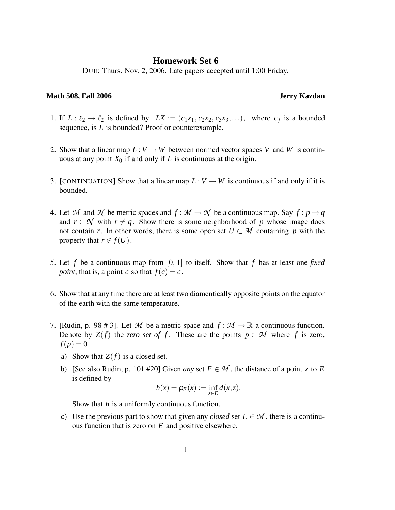## **Homework Set 6**

DUE: Thurs. Nov. 2, 2006. Late papers accepted until 1:00 Friday.

## **Math 508, Fall 2006 Jerry Kazdan**

- 1. If  $L: \ell_2 \to \ell_2$  is defined by  $LX := (c_1x_1, c_2x_2, c_3x_3,...)$ , where  $c_j$  is a bounded sequence, is *L* is bounded? Proof or counterexample.
- 2. Show that a linear map  $L: V \to W$  between normed vector spaces V and W is continuous at any point  $X_0$  if and only if  $L$  is continuous at the origin.
- 3. [CONTINUATION] Show that a linear map  $L: V \to W$  is continuous if and only if it is bounded.
- 4. Let *M* and  $\mathcal{N}$  be metric spaces and  $f : \mathcal{M} \to \mathcal{N}$  be a continuous map. Say  $f : p \mapsto q$ and  $r \in \mathcal{N}$  with  $r \neq q$ . Show there is some neighborhood of p whose image does not contain *r*. In other words, there is some open set  $U \subset M$  containing *p* with the property that  $r \notin f(U)$ .
- 5. Let *f* be a continuous map from [0, 1] to itself. Show that *f* has at least one *fixed point*, that is, a point *c* so that  $f(c) = c$ .
- 6. Show that at any time there are at least two diamentically opposite points on the equator of the earth with the same temperature.
- 7. [Rudin, p. 98 # 3]. Let M be a metric space and  $f : \mathcal{M} \to \mathbb{R}$  a continuous function. Denote by  $Z(f)$  the *zero set of f*. These are the points  $p \in M$  where f is zero,  $f(p) = 0.$ 
	- a) Show that  $Z(f)$  is a closed set.
	- b) [See also Rudin, p. 101 #20] Given *any* set  $E \in \mathcal{M}$ , the distance of a point *x* to *E* is defined by

$$
h(x) = \rho_E(x) := \inf_{z \in E} d(x, z).
$$

Show that *h* is a uniformly continuous function.

c) Use the previous part to show that given any *closed* set  $E \in \mathcal{M}$ , there is a continuous function that is zero on *E* and positive elsewhere.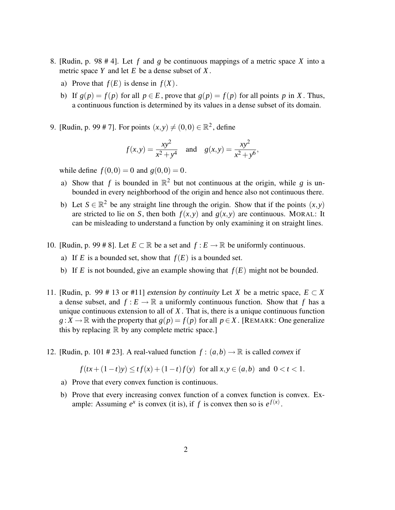- 8. [Rudin, p. 98 # 4]. Let *f* and *g* be continuous mappings of a metric space *X* into a metric space *Y* and let *E* be a dense subset of *X* .
	- a) Prove that  $f(E)$  is dense in  $f(X)$ .
	- b) If  $g(p) = f(p)$  for all  $p \in E$ , prove that  $g(p) = f(p)$  for all points p in X. Thus, a continuous function is determined by its values in a dense subset of its domain.
- 9. [Rudin, p. 99 # 7]. For points  $(x, y) \neq (0, 0) \in \mathbb{R}^2$ , define

$$
f(x,y) = \frac{xy^2}{x^2 + y^4}
$$
 and  $g(x,y) = \frac{xy^2}{x^2 + y^6}$ ,

while define  $f(0,0) = 0$  and  $g(0,0) = 0$ .

- a) Show that f is bounded in  $\mathbb{R}^2$  but not continuous at the origin, while g is unbounded in every neighborhood of the origin and hence also not continuous there.
- b) Let  $S \in \mathbb{R}^2$  be any straight line through the origin. Show that if the points  $(x, y)$ are stricted to lie on *S*, then both  $f(x, y)$  and  $g(x, y)$  are continuous. MORAL: It can be misleading to understand a function by only examining it on straight lines.
- 10. [Rudin, p. 99 # 8]. Let  $E \subset \mathbb{R}$  be a set and  $f : E \to \mathbb{R}$  be uniformly continuous.
	- a) If *E* is a bounded set, show that  $f(E)$  is a bounded set.
	- b) If *E* is not bounded, give an example showing that  $f(E)$  might not be bounded.
- 11. [Rudin, p. 99 # 13 or #11] *extension by continuity* Let *X* be a metric space,  $E \subset X$ a dense subset, and  $f: E \to \mathbb{R}$  a uniformly continuous function. Show that f has a unique continuous extension to all of *X* . That is, there is a unique continuous function *g* : *X* → ℝ with the property that  $g(p) = f(p)$  for all  $p \in X$ . [REMARK: One generalize this by replacing  $\mathbb R$  by any complete metric space.
- 12. [Rudin, p. 101 # 23]. A real-valued function  $f : (a, b) \rightarrow \mathbb{R}$  is called *convex* if

$$
f(tx + (1-t)y) \le tf(x) + (1-t)f(y) \text{ for all } x, y \in (a, b) \text{ and } 0 < t < 1.
$$

- a) Prove that every convex function is continuous.
- b) Prove that every increasing convex function of a convex function is convex. Example: Assuming  $e^x$  is convex (it is), if f is convex then so is  $e^{f(x)}$ .